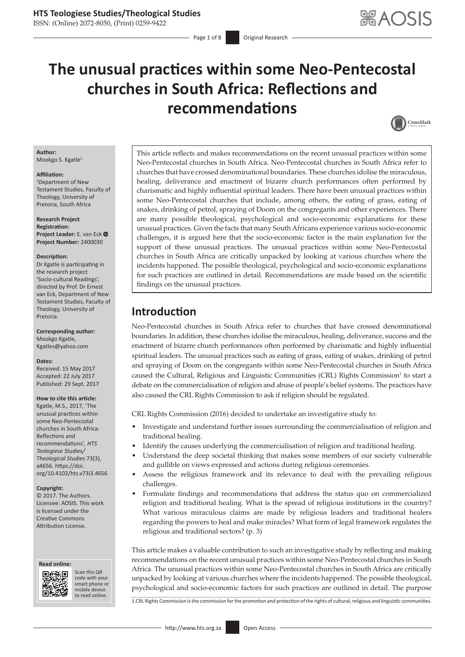# **The unusual practices within some Neo-Pentecostal churches in South Africa: Reflections and recommendations**



#### **Author:** Mookgo S. Kgatle<sup>1</sup>

#### **Affiliation:**

1 Department of New Testament Studies, Faculty of Theology, University of Pretoria, South Africa

#### **Research Project Registration: Project Leader:** E. van Ec[k](http://orcid.org/0000-0003-3810-4190)  **Project Number:** 2400030

#### **Description:**

Dr Kgatle is participating in the research project 'Socio-cultural Readings', directed by Prof. Dr Ernest van Eck, Department of New Testament Studies, Faculty of Theology, University of Pretoria.

**Corresponding author:** Mookgo Kgatle, [Kgatles@yahoo.com](mailto:Kgatles@yahoo.com)

#### **Dates:**

Received: 15 May 2017 Accepted: 22 July 2017 Published: 29 Sept. 2017

### **How to cite this article:**

Kgatle, M.S., 2017, 'The unusual practices within some Neo-Pentecostal churches in South Africa: Reflections and recommendations'*, HTS Teologiese Studies/ Theological Studies* 73(3), a4656. [https://doi.](https://doi.org/10.4102/hts.v73i3.4656) [org/10.4102/hts.v73i3.4656](https://doi.org/10.4102/hts.v73i3.4656)

#### **Copyright:**

© 2017. The Authors. Licensee: AOSIS. This work is licensed under the Creative Commons Attribution License.





Scan this QR code with your Scan this QR<br>code with your<br>smart phone or<br>mobile device mobile device to read online. to read online.

This article reflects and makes recommendations on the recent unusual practices within some Neo-Pentecostal churches in South Africa. Neo-Pentecostal churches in South Africa refer to churches that have crossed denominational boundaries. These churches idolise the miraculous, healing, deliverance and enactment of bizarre church performances often performed by charismatic and highly influential spiritual leaders. There have been unusual practices within some Neo-Pentecostal churches that include, among others, the eating of grass, eating of snakes, drinking of petrol, spraying of Doom on the congregants and other experiences. There are many possible theological, psychological and socio-economic explanations for these unusual practices. Given the facts that many South Africans experience various socio-economic challenges, it is argued here that the socio-economic factor is the main explanation for the support of these unusual practices. The unusual practices within some Neo-Pentecostal churches in South Africa are critically unpacked by looking at various churches where the incidents happened. The possible theological, psychological and socio-economic explanations for such practices are outlined in detail. Recommendations are made based on the scientific findings on the unusual practices.

# **Introduction**

Neo-Pentecostal churches in South Africa refer to churches that have crossed denominational boundaries. In addition, these churches idolise the miraculous, healing, deliverance, success and the enactment of bizarre church performances often performed by charismatic and highly influential spiritual leaders. The unusual practices such as eating of grass, eating of snakes, drinking of petrol and spraying of Doom on the congregants within some Neo-Pentecostal churches in South Africa caused the Cultural, Religious and Linguistic Communities (CRL) Rights Commission<sup>1</sup> to start a debate on the commercialisation of religion and abuse of people's belief systems. The practices have also caused the CRL Rights Commission to ask if religion should be regulated.

CRL Rights Commission (2016) decided to undertake an investigative study to:

- Investigate and understand further issues surrounding the commercialisation of religion and traditional healing.
- Identify the causes underlying the commercialisation of religion and traditional healing.
- Understand the deep societal thinking that makes some members of our society vulnerable and gullible on views expressed and actions during religious ceremonies.
- Assess the religious framework and its relevance to deal with the prevailing religious challenges.
- • Formulate findings and recommendations that address the status quo on commercialized religion and traditional healing. What is the spread of religious institutions in the country? What various miraculous claims are made by religious leaders and traditional healers regarding the powers to heal and make miracles? What form of legal framework regulates the religious and traditional sectors? (p. 3)

This article makes a valuable contribution to such an investigative study by reflecting and making recommendations on the recent unusual practices within some Neo-Pentecostal churches in South Africa. The unusual practices within some Neo-Pentecostal churches in South Africa are critically unpacked by looking at various churches where the incidents happened. The possible theological, psychological and socio-economic factors for such practices are outlined in detail. The purpose 1.CRL Rights Commission is the commission for the promotion and protection of the rights of cultural, religious and linguistic communities.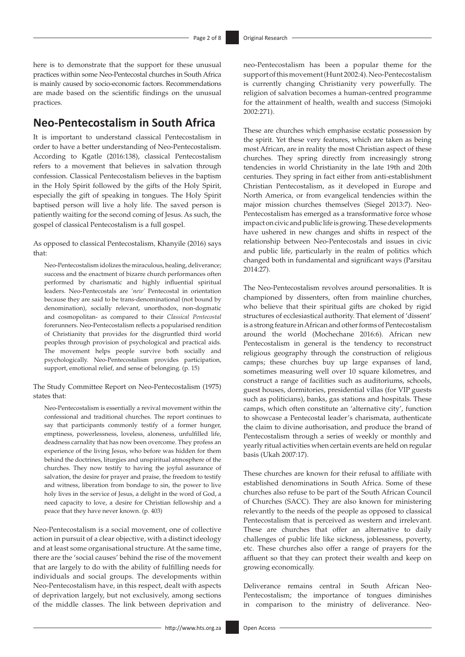here is to demonstrate that the support for these unusual practices within some Neo-Pentecostal churches in South Africa is mainly caused by socio-economic factors. Recommendations are made based on the scientific findings on the unusual practices.

# **Neo-Pentecostalism in South Africa**

It is important to understand classical Pentecostalism in order to have a better understanding of Neo-Pentecostalism. According to Kgatle (2016:138), classical Pentecostalism refers to a movement that believes in salvation through confession. Classical Pentecostalism believes in the baptism in the Holy Spirit followed by the gifts of the Holy Spirit, especially the gift of speaking in tongues. The Holy Spirit baptised person will live a holy life. The saved person is patiently waiting for the second coming of Jesus. As such, the gospel of classical Pentecostalism is a full gospel.

As opposed to classical Pentecostalism*,* Khanyile (2016) says that:

Neo-Pentecostalism idolizes the miraculous, healing, deliverance; success and the enactment of bizarre church performances often performed by charismatic and highly influential spiritual leaders. Neo-Pentecostals are *'new'* Pentecostal in orientation because they are said to be trans-denominational (not bound by denomination), socially relevant, unorthodox, non-dogmatic and cosmopolitan- as compared to their *Classical Pentecostal*  forerunners. Neo-Pentecostalism reflects a popularised rendition of Christianity that provides for the disgruntled third world peoples through provision of psychological and practical aids. The movement helps people survive both socially and psychologically. Neo-Pentecostalism provides participation, support, emotional relief, and sense of belonging. (p. 15)

The Study Committee Report on Neo-Pentecostalism (1975) states that:

Neo-Pentecostalism is essentially a revival movement within the confessional and traditional churches. The report continues to say that participants commonly testify of a former hunger, emptiness, powerlessness, loveless, aloneness, unfulfilled life, deadness carnality that has now been overcome. They profess an experience of the living Jesus, who before was hidden for them behind the doctrines, liturgies and unspiritual atmosphere of the churches. They now testify to having the joyful assurance of salvation, the desire for prayer and praise, the freedom to testify and witness, liberation from bondage to sin, the power to live holy lives in the service of Jesus, a delight in the word of God, a need capacity to love, a desire for Christian fellowship and a peace that they have never known. (p. 403)

Neo-Pentecostalism is a social movement, one of collective action in pursuit of a clear objective, with a distinct ideology and at least some organisational structure. At the same time, there are the 'social causes' behind the rise of the movement that are largely to do with the ability of fulfilling needs for individuals and social groups. The developments within Neo-Pentecostalism have, in this respect, dealt with aspects of deprivation largely, but not exclusively, among sections of the middle classes. The link between deprivation and neo-Pentecostalism has been a popular theme for the support of this movement (Hunt 2002:4). Neo-Pentecostalism is currently changing Christianity very powerfully. The religion of salvation becomes a human-centred programme for the attainment of health, wealth and success (Simojoki 2002:271).

These are churches which emphasise ecstatic possession by the spirit. Yet these very features, which are taken as being most African, are in reality the most Christian aspect of these churches. They spring directly from increasingly strong tendencies in world Christianity in the late 19th and 20th centuries. They spring in fact either from anti-establishment Christian Pentecostalism, as it developed in Europe and North America, or from evangelical tendencies within the major mission churches themselves (Siegel 2013:7). Neo-Pentecostalism has emerged as a transformative force whose impact on civic and public life is growing. These developments have ushered in new changes and shifts in respect of the relationship between Neo-Pentecostals and issues in civic and public life, particularly in the realm of politics which changed both in fundamental and significant ways (Parsitau 2014:27).

The Neo-Pentecostalism revolves around personalities. It is championed by dissenters, often from mainline churches, who believe that their spiritual gifts are choked by rigid structures of ecclesiastical authority. That element of 'dissent' is a strong feature in African and other forms of Pentecostalism around the world (Mochechane 2016:6). African new Pentecostalism in general is the tendency to reconstruct religious geography through the construction of religious camps; these churches buy up large expanses of land, sometimes measuring well over 10 square kilometres, and construct a range of facilities such as auditoriums, schools, guest houses, dormitories, presidential villas (for VIP guests such as politicians), banks, gas stations and hospitals. These camps, which often constitute an 'alternative city', function to showcase a Pentecostal leader's charismata, authenticate the claim to divine authorisation, and produce the brand of Pentecostalism through a series of weekly or monthly and yearly ritual activities when certain events are held on regular basis (Ukah 2007:17).

These churches are known for their refusal to affiliate with established denominations in South Africa. Some of these churches also refuse to be part of the South African Council of Churches (SACC). They are also known for ministering relevantly to the needs of the people as opposed to classical Pentecostalism that is perceived as western and irrelevant. These are churches that offer an alternative to daily challenges of public life like sickness, joblessness, poverty, etc. These churches also offer a range of prayers for the affluent so that they can protect their wealth and keep on growing economically.

Deliverance remains central in South African Neo-Pentecostalism; the importance of tongues diminishes in comparison to the ministry of deliverance. Neo-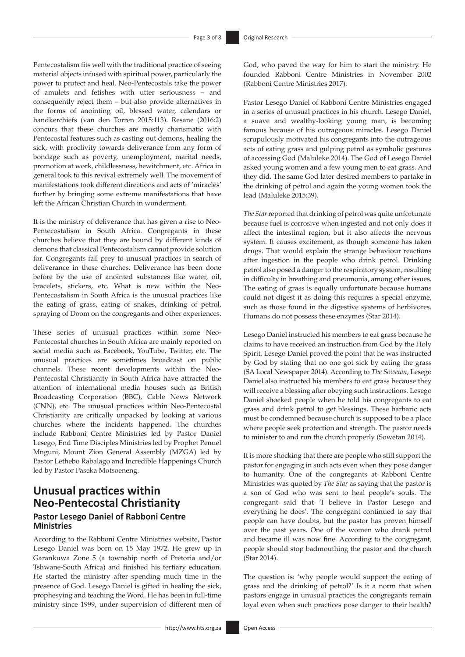Pentecostalism fits well with the traditional practice of seeing material objects infused with spiritual power, particularly the power to protect and heal. Neo-Pentecostals take the power of amulets and fetishes with utter seriousness – and consequently reject them – but also provide alternatives in the forms of anointing oil, blessed water, calendars or handkerchiefs (van den Torren 2015:113). Resane (2016:2) concurs that these churches are mostly charismatic with Pentecostal features such as casting out demons, healing the sick, with proclivity towards deliverance from any form of bondage such as poverty, unemployment, marital needs, promotion at work, childlessness, bewitchment, etc. Africa in general took to this revival extremely well. The movement of manifestations took different directions and acts of 'miracles' further by bringing some extreme manifestations that have left the African Christian Church in wonderment.

It is the ministry of deliverance that has given a rise to Neo-Pentecostalism in South Africa. Congregants in these churches believe that they are bound by different kinds of demons that classical Pentecostalism cannot provide solution for. Congregants fall prey to unusual practices in search of deliverance in these churches. Deliverance has been done before by the use of anointed substances like water, oil, bracelets, stickers, etc. What is new within the Neo-Pentecostalism in South Africa is the unusual practices like the eating of grass, eating of snakes, drinking of petrol, spraying of Doom on the congregants and other experiences.

These series of unusual practices within some Neo-Pentecostal churches in South Africa are mainly reported on social media such as Facebook, YouTube, Twitter, etc. The unusual practices are sometimes broadcast on public channels. These recent developments within the Neo-Pentecostal Christianity in South Africa have attracted the attention of international media houses such as British Broadcasting Corporation (BBC), Cable News Network (CNN), etc. The unusual practices within Neo-Pentecostal Christianity are critically unpacked by looking at various churches where the incidents happened. The churches include Rabboni Centre Ministries led by Pastor Daniel Lesego, End Time Disciples Ministries led by Prophet Penuel Mnguni, Mount Zion General Assembly (MZGA) led by Pastor Lethebo Rabalago and Incredible Happenings Church led by Pastor Paseka Motsoeneng.

# **Unusual practices within Neo-Pentecostal Christianity Pastor Lesego Daniel of Rabboni Centre Ministries**

According to the Rabboni Centre Ministries website, Pastor Lesego Daniel was born on 15 May 1972. He grew up in Garankuwa Zone 5 (a township north of Pretoria and/or Tshwane-South Africa) and finished his tertiary education. He started the ministry after spending much time in the presence of God. Lesego Daniel is gifted in healing the sick, prophesying and teaching the Word. He has been in full-time ministry since 1999, under supervision of different men of God, who paved the way for him to start the ministry. He founded Rabboni Centre Ministries in November 2002 (Rabboni Centre Ministries 2017).

Pastor Lesego Daniel of Rabboni Centre Ministries engaged in a series of unusual practices in his church. Lesego Daniel, a suave and wealthy-looking young man, is becoming famous because of his outrageous miracles. Lesego Daniel scrupulously motivated his congregants into the outrageous acts of eating grass and gulping petrol as symbolic gestures of accessing God (Maluleke 2014). The God of Lesego Daniel asked young women and a few young men to eat grass. And they did. The same God later desired members to partake in the drinking of petrol and again the young women took the lead (Maluleke 2015:39).

*The Star* reported that drinking of petrol was quite unfortunate because fuel is corrosive when ingested and not only does it affect the intestinal region, but it also affects the nervous system. It causes excitement, as though someone has taken drugs. That would explain the strange behaviour reactions after ingestion in the people who drink petrol. Drinking petrol also posed a danger to the respiratory system, resulting in difficulty in breathing and pneumonia, among other issues. The eating of grass is equally unfortunate because humans could not digest it as doing this requires a special enzyme, such as those found in the digestive systems of herbivores. Humans do not possess these enzymes (Star 2014).

Lesego Daniel instructed his members to eat grass because he claims to have received an instruction from God by the Holy Spirit. Lesego Daniel proved the point that he was instructed by God by stating that no one got sick by eating the grass (SA Local Newspaper 2014). According to *The Sowetan*, Lesego Daniel also instructed his members to eat grass because they will receive a blessing after obeying such instructions. Lesego Daniel shocked people when he told his congregants to eat grass and drink petrol to get blessings. These barbaric acts must be condemned because church is supposed to be a place where people seek protection and strength. The pastor needs to minister to and run the church properly (Sowetan 2014).

It is more shocking that there are people who still support the pastor for engaging in such acts even when they pose danger to humanity. One of the congregants at Rabboni Centre Ministries was quoted by *The Star* as saying that the pastor is a son of God who was sent to heal people's souls. The congregant said that 'I believe in Pastor Lesego and everything he does'. The congregant continued to say that people can have doubts, but the pastor has proven himself over the past years. One of the women who drank petrol and became ill was now fine. According to the congregant, people should stop badmouthing the pastor and the church (Star 2014).

The question is: 'why people would support the eating of grass and the drinking of petrol?' Is it a norm that when pastors engage in unusual practices the congregants remain loyal even when such practices pose danger to their health?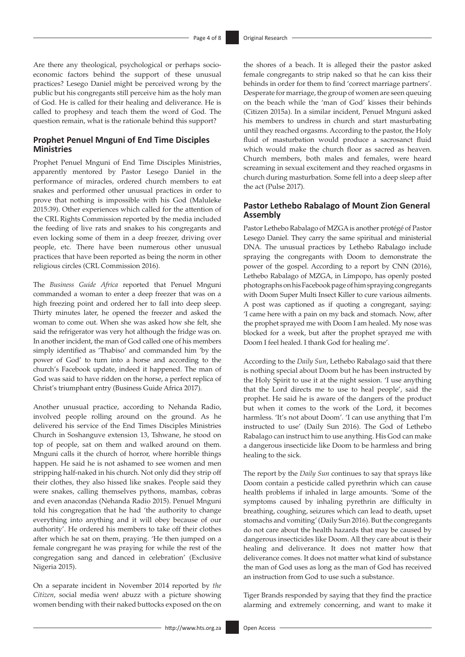Are there any theological, psychological or perhaps socioeconomic factors behind the support of these unusual practices? Lesego Daniel might be perceived wrong by the public but his congregants still perceive him as the holy man of God. He is called for their healing and deliverance. He is called to prophesy and teach them the word of God. The question remain, what is the rationale behind this support?

### **Prophet Penuel Mnguni of End Time Disciples Ministries**

Prophet Penuel Mnguni of End Time Disciples Ministries, apparently mentored by Pastor Lesego Daniel in the performance of miracles, ordered church members to eat snakes and performed other unusual practices in order to prove that nothing is impossible with his God (Maluleke 2015:39). Other experiences which called for the attention of the CRL Rights Commission reported by the media included the feeding of live rats and snakes to his congregants and even locking some of them in a deep freezer, driving over people, etc. There have been numerous other unusual practices that have been reported as being the norm in other religious circles (CRL Commission 2016).

The *Business Guide Africa* reported that Penuel Mnguni commanded a woman to enter a deep freezer that was on a high freezing point and ordered her to fall into deep sleep. Thirty minutes later, he opened the freezer and asked the woman to come out. When she was asked how she felt, she said the refrigerator was very hot although the fridge was on. In another incident, the man of God called one of his members simply identified as 'Thabiso' and commanded him 'by the power of God' to turn into a horse and according to the church's Facebook update, indeed it happened. The man of God was said to have ridden on the horse, a perfect replica of Christ's triumphant entry (Business Guide Africa 2017).

Another unusual practice, according to Nehanda Radio, involved people rolling around on the ground. As he delivered his service of the End Times Disciples Ministries Church in Soshanguve extension 13, Tshwane, he stood on top of people, sat on them and walked around on them. Mnguni calls it the church of horror, where horrible things happen. He said he is not ashamed to see women and men stripping half-naked in his church. Not only did they strip off their clothes, they also hissed like snakes. People said they were snakes, calling themselves pythons, mambas, cobras and even anacondas (Nehanda Radio 2015). Penuel Mnguni told his congregation that he had 'the authority to change everything into anything and it will obey because of our authority'. He ordered his members to take off their clothes after which he sat on them, praying. 'He then jumped on a female congregant he was praying for while the rest of the congregation sang and danced in celebration' (Exclusive Nigeria 2015).

On a separate incident in November 2014 reported by *the Citizen*, social media wen*t* abuzz with a picture showing women bending with their naked buttocks exposed on the on the shores of a beach. It is alleged their the pastor asked female congregants to strip naked so that he can kiss their behinds in order for them to find 'correct marriage partners'. Desperate for marriage, the group of women are seen queuing on the beach while the 'man of God' kisses their behinds (Citizen 2015a). In a similar incident, Penuel Mnguni asked his members to undress in church and start masturbating until they reached orgasms. According to the pastor, the Holy fluid of masturbation would produce a sacrosanct fluid which would make the church floor as sacred as heaven. Church members, both males and females, were heard screaming in sexual excitement and they reached orgasms in church during masturbation. Some fell into a deep sleep after the act (Pulse 2017).

### **Pastor Lethebo Rabalago of Mount Zion General Assembly**

Pastor Lethebo Rabalago of MZGA is another protégé of Pastor Lesego Daniel. They carry the same spiritual and ministerial DNA. The unusual practices by Lethebo Rabalago include spraying the congregants with Doom to demonstrate the power of the gospel. According to a report by CNN (2016), Lethebo Rabalago of MZGA, in Limpopo, has openly posted photographs on his Facebook page of him spraying congregants with Doom Super Multi Insect Killer to cure various ailments. A post was captioned as if quoting a congregant, saying: 'I came here with a pain on my back and stomach. Now, after the prophet sprayed me with Doom I am healed. My nose was blocked for a week, but after the prophet sprayed me with Doom I feel healed. I thank God for healing me'.

According to the *Daily Sun*, Lethebo Rabalago said that there is nothing special about Doom but he has been instructed by the Holy Spirit to use it at the night session. 'I use anything that the Lord directs me to use to heal people', said the prophet. He said he is aware of the dangers of the product but when it comes to the work of the Lord, it becomes harmless. 'It's not about Doom'. 'I can use anything that I'm instructed to use' (Daily Sun 2016). The God of Lethebo Rabalago can instruct him to use anything. His God can make a dangerous insecticide like Doom to be harmless and bring healing to the sick.

The report by the *Daily Sun* continues to say that sprays like Doom contain a pesticide called pyrethrin which can cause health problems if inhaled in large amounts. 'Some of the symptoms caused by inhaling pyrethrin are difficulty in breathing, coughing, seizures which can lead to death, upset stomachs and vomiting' (Daily Sun 2016). But the congregants do not care about the health hazards that may be caused by dangerous insecticides like Doom. All they care about is their healing and deliverance. It does not matter how that deliverance comes. It does not matter what kind of substance the man of God uses as long as the man of God has received an instruction from God to use such a substance.

Tiger Brands responded by saying that they find the practice alarming and extremely concerning, and want to make it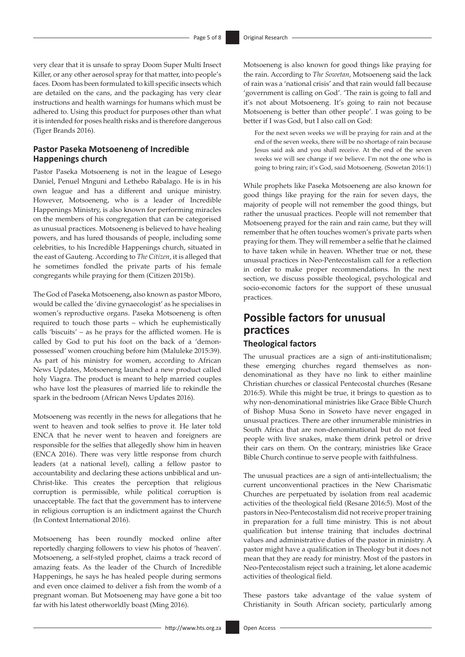very clear that it is unsafe to spray Doom Super Multi Insect Killer, or any other aerosol spray for that matter, into people's faces. Doom has been formulated to kill specific insects which are detailed on the cans, and the packaging has very clear instructions and health warnings for humans which must be adhered to. Using this product for purposes other than what it is intended for poses health risks and is therefore dangerous (Tiger Brands 2016).

### **Pastor Paseka Motsoeneng of Incredible Happenings church**

Pastor Paseka Motsoeneng is not in the league of Lesego Daniel, Penuel Mnguni and Lethebo Rabalago. He is in his own league and has a different and unique ministry. However, Motsoeneng, who is a leader of Incredible Happenings Ministry, is also known for performing miracles on the members of his congregation that can be categorised as unusual practices. Motsoeneng is believed to have healing powers, and has lured thousands of people, including some celebrities, to his Incredible Happenings church, situated in the east of Gauteng. According to *The Citizen*, it is alleged that he sometimes fondled the private parts of his female congregants while praying for them (Citizen 2015b).

The God of Paseka Motsoeneng**,** also known as pastor Mboro, would be called the 'divine gynaecologist' as he specialises in women's reproductive organs. Paseka Motsoeneng is often required to touch those parts – which he euphemistically calls 'biscuits' – as he prays for the afflicted women. He is called by God to put his foot on the back of a 'demonpossessed' women crouching before him (Maluleke 2015:39). As part of his ministry for women, according to African News Updates, Motsoeneng launched a new product called holy Viagra. The product is meant to help married couples who have lost the pleasures of married life to rekindle the spark in the bedroom (African News Updates 2016).

Motsoeneng was recently in the news for allegations that he went to heaven and took selfies to prove it. He later told ENCA that he never went to heaven and foreigners are responsible for the selfies that allegedly show him in heaven (ENCA 2016). There was very little response from church leaders (at a national level), calling a fellow pastor to accountability and declaring these actions unbiblical and un-Christ-like. This creates the perception that religious corruption is permissible, while political corruption is unacceptable. The fact that the government has to intervene in religious corruption is an indictment against the Church (In Context International 2016).

Motsoeneng has been roundly mocked online after reportedly charging followers to view his photos of 'heaven'. Motsoeneng, a self-styled prophet, claims a track record of amazing feats. As the leader of the Church of Incredible Happenings, he says he has healed people during sermons and even once claimed to deliver a fish from the womb of a pregnant woman. But Motsoeneng may have gone a bit too far with his latest otherworldly boast (Ming 2016).

Motsoeneng is also known for good things like praying for the rain. According to *The Sowetan*, Motsoeneng said the lack of rain was a 'national crisis' and that rain would fall because 'government is calling on God'. 'The rain is going to fall and it's not about Motsoeneng. It's going to rain not because Motsoeneng is better than other people'. I was going to be better if I was God, but I also call on God:

For the next seven weeks we will be praying for rain and at the end of the seven weeks, there will be no shortage of rain because Jesus said ask and you shall receive. At the end of the seven weeks we will see change if we believe. I'm not the one who is going to bring rain; it's God, said Motsoeneng. (Sowetan 2016:1)

While prophets like Paseka Motsoeneng are also known for good things like praying for the rain for seven days, the majority of people will not remember the good things, but rather the unusual practices. People will not remember that Motsoeneng prayed for the rain and rain came, but they will remember that he often touches women's private parts when praying for them. They will remember a selfie that he claimed to have taken while in heaven. Whether true or not, these unusual practices in Neo-Pentecostalism call for a reflection in order to make proper recommendations. In the next section, we discuss possible theological, psychological and socio-economic factors for the support of these unusual practices.

# **Possible factors for unusual practices Theological factors**

The unusual practices are a sign of anti-institutionalism; these emerging churches regard themselves as nondenominational as they have no link to either mainline Christian churches or classical Pentecostal churches (Resane 2016:5). While this might be true, it brings to question as to why non-denominational ministries like Grace Bible Church of Bishop Musa Sono in Soweto have never engaged in unusual practices. There are other innumerable ministries in South Africa that are non-denominational but do not feed people with live snakes, make them drink petrol or drive their cars on them. On the contrary, ministries like Grace Bible Church continue to serve people with faithfulness.

The unusual practices are a sign of anti-intellectualism; the current unconventional practices in the New Charismatic Churches are perpetuated by isolation from real academic activities of the theological field (Resane 2016:5). Most of the pastors in Neo-Pentecostalism did not receive proper training in preparation for a full time ministry. This is not about qualification but intense training that includes doctrinal values and administrative duties of the pastor in ministry. A pastor might have a qualification in Theology but it does not mean that they are ready for ministry. Most of the pastors in Neo-Pentecostalism reject such a training, let alone academic activities of theological field.

These pastors take advantage of the value system of Christianity in South African society, particularly among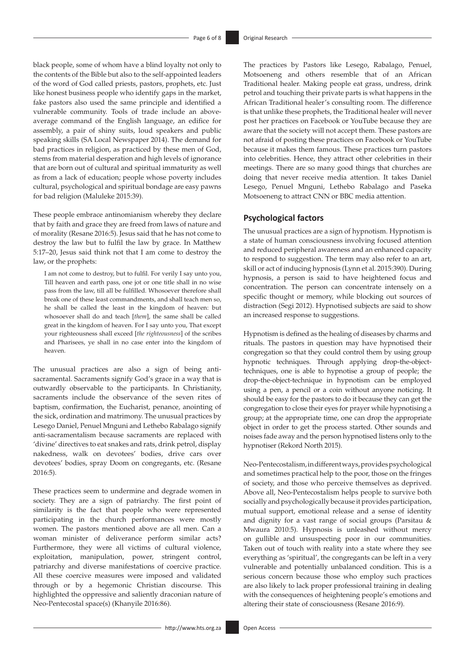black people, some of whom have a blind loyalty not only to the contents of the Bible but also to the self-appointed leaders of the word of God called priests, pastors, prophets, etc. Just like honest business people who identify gaps in the market, fake pastors also used the same principle and identified a vulnerable community. Tools of trade include an aboveaverage command of the English language, an edifice for assembly, a pair of shiny suits, loud speakers and public speaking skills (SA Local Newspaper 2014). The demand for bad practices in religion, as practiced by these men of God, stems from material desperation and high levels of ignorance that are born out of cultural and spiritual immaturity as well as from a lack of education; people whose poverty includes cultural, psychological and spiritual bondage are easy pawns for bad religion (Maluleke 2015:39).

These people embrace antinomianism whereby they declare that by faith and grace they are freed from laws of nature and of morality (Resane 2016:5). Jesus said that he has not come to destroy the law but to fulfil the law by grace. In Matthew 5:17–20, Jesus said think not that I am come to destroy the law, or the prophets:

I am not come to destroy, but to fulfil. For verily I say unto you, Till heaven and earth pass, one jot or one title shall in no wise pass from the law, till all be fulfilled. Whosoever therefore shall break one of these least commandments, and shall teach men so, he shall be called the least in the kingdom of heaven: but whosoever shall do and teach [*them*], the same shall be called great in the kingdom of heaven. For I say unto you, That except your righteousness shall exceed [*the righteousness*] of the scribes and Pharisees, ye shall in no case enter into the kingdom of heaven.

The unusual practices are also a sign of being antisacramental. Sacraments signify God's grace in a way that is outwardly observable to the participants. In Christianity, sacraments include the observance of the seven rites of baptism, confirmation, the Eucharist, penance, anointing of the sick, ordination and matrimony. The unusual practices by Lesego Daniel, Penuel Mnguni and Lethebo Rabalago signify anti-sacramentalism because sacraments are replaced with 'divine' directives to eat snakes and rats, drink petrol, display nakedness, walk on devotees' bodies, drive cars over devotees' bodies, spray Doom on congregants, etc. (Resane 2016:5).

These practices seem to undermine and degrade women in society. They are a sign of patriarchy. The first point of similarity is the fact that people who were represented participating in the church performances were mostly women. The pastors mentioned above are all men. Can a woman minister of deliverance perform similar acts? Furthermore, they were all victims of cultural violence, exploitation, manipulation, power, stringent control, patriarchy and diverse manifestations of coercive practice. All these coercive measures were imposed and validated through or by a hegemonic Christian discourse. This highlighted the oppressive and saliently draconian nature of Neo-Pentecostal space(s) (Khanyile 2016:86).

The practices by Pastors like Lesego, Rabalago, Penuel, Motsoeneng and others resemble that of an African Traditional healer. Making people eat grass, undress, drink petrol and touching their private parts is what happens in the African Traditional healer's consulting room. The difference is that unlike these prophets, the Traditional healer will never post her practices on Facebook or YouTube because they are aware that the society will not accept them. These pastors are not afraid of posting these practices on Facebook or YouTube because it makes them famous. These practices turn pastors into celebrities. Hence, they attract other celebrities in their meetings. There are so many good things that churches are doing that never receive media attention. It takes Daniel Lesego, Penuel Mnguni, Lethebo Rabalago and Paseka Motsoeneng to attract CNN or BBC media attention.

### **Psychological factors**

The unusual practices are a sign of hypnotism. Hypnotism is a state of human consciousness involving focused attention and reduced peripheral awareness and an enhanced capacity to respond to suggestion. The term may also refer to an art, skill or act of inducing hypnosis (Lynn et al. 2015:390). During hypnosis, a person is said to have heightened focus and concentration. The person can concentrate intensely on a specific thought or memory, while blocking out sources of distraction (Segi 2012). Hypnotised subjects are said to show an increased response to suggestions.

Hypnotism is defined as the healing of diseases by charms and rituals. The pastors in question may have hypnotised their congregation so that they could control them by using group hypnotic techniques. Through applying drop-the-objecttechniques, one is able to hypnotise a group of people; the drop-the-object-technique in hypnotism can be employed using a pen, a pencil or a coin without anyone noticing. It should be easy for the pastors to do it because they can get the congregation to close their eyes for prayer while hypnotising a group; at the appropriate time, one can drop the appropriate object in order to get the process started. Other sounds and noises fade away and the person hypnotised listens only to the hypnotiser (Rekord North 2015).

Neo-Pentecostalism, in different ways, provides psychological and sometimes practical help to the poor, those on the fringes of society, and those who perceive themselves as deprived. Above all, Neo-Pentecostalism helps people to survive both socially and psychologically because it provides participation, mutual support, emotional release and a sense of identity and dignity for a vast range of social groups (Parsitau & Mwaura 2010:5). Hypnosis is unleashed without mercy on gullible and unsuspecting poor in our communities. Taken out of touch with reality into a state where they see everything as 'spiritual', the congregants can be left in a very vulnerable and potentially unbalanced condition. This is a serious concern because those who employ such practices are also likely to lack proper professional training in dealing with the consequences of heightening people's emotions and altering their state of consciousness (Resane 2016:9).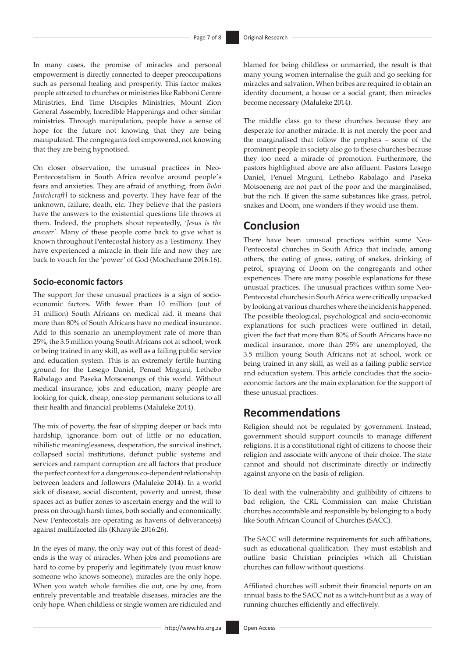In many cases, the promise of miracles and personal empowerment is directly connected to deeper preoccupations such as personal healing and prosperity. This factor makes people attracted to churches or ministries like Rabboni Centre Ministries, End Time Disciples Ministries, Mount Zion General Assembly, Incredible Happenings and other similar ministries. Through manipulation, people have a sense of hope for the future not knowing that they are being manipulated. The congregants feel empowered, not knowing that they are being hypnotised.

On closer observation, the unusual practices in Neo-Pentecostalism in South Africa revolve around people's fears and anxieties. They are afraid of anything, from *Boloi [witchcraft]* to sickness and poverty. They have fear of the unknown, failure, death, etc. They believe that the pastors have the answers to the existential questions life throws at them. Indeed, the prophets shout repeatedly, *'Jesus is the answer'.* Many of these people come back to give what is known throughout Pentecostal history as a Testimony. They have experienced a miracle in their life and now they are back to vouch for the 'power' of God (Mochechane 2016:16).

### **Socio-economic factors**

The support for these unusual practices is a sign of socioeconomic factors. With fewer than 10 million (out of 51 million) South Africans on medical aid, it means that more than 80% of South Africans have no medical insurance. Add to this scenario an unemployment rate of more than 25%, the 3.5 million young South Africans not at school, work or being trained in any skill, as well as a failing public service and education system. This is an extremely fertile hunting ground for the Lesego Daniel, Penuel Mnguni, Lethebo Rabalago and Paseka Motsoenengs of this world. Without medical insurance, jobs and education, many people are looking for quick, cheap, one-stop permanent solutions to all their health and financial problems (Maluleke 2014).

The mix of poverty, the fear of slipping deeper or back into hardship, ignorance born out of little or no education, nihilistic meaninglessness, desperation, the survival instinct, collapsed social institutions, defunct public systems and services and rampant corruption are all factors that produce the perfect context for a dangerous co-dependent relationship between leaders and followers (Maluleke 2014). In a world sick of disease, social discontent, poverty and unrest, these spaces act as buffer zones to ascertain energy and the will to press on through harsh times, both socially and economically. New Pentecostals are operating as havens of deliverance(s) against multifaceted ills (Khanyile 2016:26).

In the eyes of many, the only way out of this forest of deadends is the way of miracles. When jobs and promotions are hard to come by properly and legitimately (you must know someone who knows someone), miracles are the only hope. When you watch whole families die out, one by one, from entirely preventable and treatable diseases, miracles are the only hope. When childless or single women are ridiculed and

blamed for being childless or unmarried, the result is that many young women internalise the guilt and go seeking for miracles and salvation. When bribes are required to obtain an identity document, a house or a social grant, then miracles become necessary (Maluleke 2014).

The middle class go to these churches because they are desperate for another miracle. It is not merely the poor and the marginalised that follow the prophets – some of the prominent people in society also go to these churches because they too need a miracle of promotion. Furthermore, the pastors highlighted above are also affluent. Pastors Lesego Daniel, Penuel Mnguni, Lethebo Rabalago and Paseka Motsoeneng are not part of the poor and the marginalised, but the rich. If given the same substances like grass, petrol, snakes and Doom, one wonders if they would use them.

# **Conclusion**

There have been unusual practices within some Neo-Pentecostal churches in South Africa that include, among others, the eating of grass, eating of snakes, drinking of petrol, spraying of Doom on the congregants and other experiences. There are many possible explanations for these unusual practices. The unusual practices within some Neo-Pentecostal churches in South Africa were critically unpacked by looking at various churches where the incidents happened. The possible theological, psychological and socio-economic explanations for such practices were outlined in detail, given the fact that more than 80% of South Africans have no medical insurance, more than 25% are unemployed, the 3.5 million young South Africans not at school, work or being trained in any skill, as well as a failing public service and education system. This article concludes that the socioeconomic factors are the main explanation for the support of these unusual practices.

## **Recommendations**

Religion should not be regulated by government. Instead, government should support councils to manage different religions. It is a constitutional right of citizens to choose their religion and associate with anyone of their choice. The state cannot and should not discriminate directly or indirectly against anyone on the basis of religion.

To deal with the vulnerability and gullibility of citizens to bad religion, the CRL Commission can make Christian churches accountable and responsible by belonging to a body like South African Council of Churches (SACC).

The SACC will determine requirements for such affiliations, such as educational qualification. They must establish and outline basic Christian principles which all Christian churches can follow without questions.

Affiliated churches will submit their financial reports on an annual basis to the SACC not as a witch-hunt but as a way of running churches efficiently and effectively.